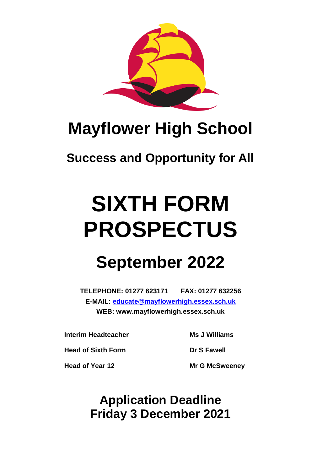

## **Mayflower High School**

## **Success and Opportunity for All**

# **SIXTH FORM PROSPECTUS**

## **September 2022**

**TELEPHONE: 01277 623171 FAX: 01277 632256 E-MAIL: [educate@mayflowerhigh.essex.sch.uk](mailto:educate@mayflowerhigh.essex.sch.uk) WEB: www.mayflowerhigh.essex.sch.uk**

**Interim Headteacher Ms J Williams**

**Head of Sixth Form Dr S** Fawell

**Head of Year 12 Mr G McSweeney**

**Application Deadline Friday 3 December 2021**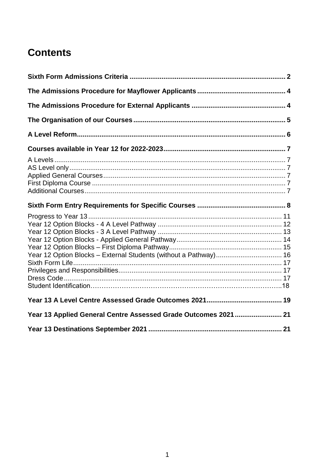## **Contents**

| Year 12 Option Blocks - External Students (without a Pathway) 16 |  |
|------------------------------------------------------------------|--|
|                                                                  |  |
| Year 13 Applied General Centre Assessed Grade Outcomes 2021  21  |  |
|                                                                  |  |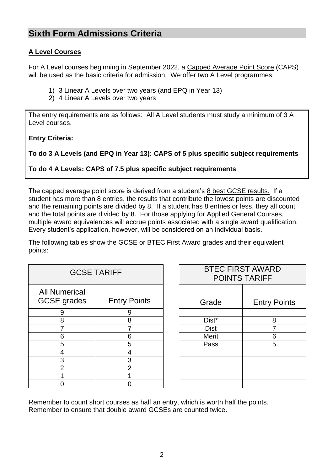#### <span id="page-2-0"></span>**Sixth Form Admissions Criteria**

#### **A Level Courses**

For A Level courses beginning in September 2022, a Capped Average Point Score (CAPS) will be used as the basic criteria for admission. We offer two A Level programmes:

- 1) 3 Linear A Levels over two years (and EPQ in Year 13)
- 2) 4 Linear A Levels over two years

The entry requirements are as follows: All A Level students must study a minimum of 3 A Level courses.

**Entry Criteria:**

```
To do 3 A Levels (and EPQ in Year 13): CAPS of 5 plus specific subject requirements
```
**To do 4 A Levels: CAPS of 7.5 plus specific subject requirements**

The capped average point score is derived from a student's 8 best GCSE results. If a student has more than 8 entries, the results that contribute the lowest points are discounted and the remaining points are divided by 8. If a student has 8 entries or less, they all count and the total points are divided by 8. For those applying for Applied General Courses, multiple award equivalences will accrue points associated with a single award qualification. Every student's application, however, will be considered on an individual basis.

The following tables show the GCSE or BTEC First Award grades and their equivalent points:

| <b>GCSE TARIFF</b>                         |                     |             | <b>BTEC FIRST AWARD</b><br><b>POINTS TARIFF</b> |
|--------------------------------------------|---------------------|-------------|-------------------------------------------------|
| <b>All Numerical</b><br><b>GCSE</b> grades | <b>Entry Points</b> | Grade       | <b>Entry Points</b>                             |
| 9                                          | 9                   |             |                                                 |
| 8                                          | 8                   | Dist*       | 8                                               |
|                                            |                     | <b>Dist</b> |                                                 |
| 6                                          | 6                   | Merit       | 6                                               |
| 5                                          | 5                   | Pass        | 5                                               |
|                                            |                     |             |                                                 |
| 3                                          | 3                   |             |                                                 |
| $\mathcal{P}$                              | $\overline{2}$      |             |                                                 |
|                                            |                     |             |                                                 |
|                                            |                     |             |                                                 |

| <b>GCSE TARIFF</b>  | <b>BTEC FIRST AWARD</b><br><b>POINTS TARIFF</b> |                     |
|---------------------|-------------------------------------------------|---------------------|
| <b>Entry Points</b> | Grade                                           | <b>Entry Points</b> |
| 9                   |                                                 |                     |
| 8                   | Dist*                                           | 8                   |
|                     | <b>Dist</b>                                     |                     |
| 6                   | Merit                                           | 6                   |
| 5                   | Pass                                            | 5                   |
| 4                   |                                                 |                     |
| 3                   |                                                 |                     |
| $\overline{2}$      |                                                 |                     |
|                     |                                                 |                     |
|                     |                                                 |                     |
|                     |                                                 |                     |

Remember to count short courses as half an entry, which is worth half the points. Remember to ensure that double award GCSEs are counted twice.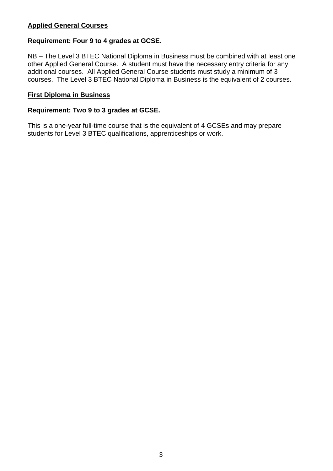#### **Applied General Courses**

#### **Requirement: Four 9 to 4 grades at GCSE.**

NB – The Level 3 BTEC National Diploma in Business must be combined with at least one other Applied General Course. A student must have the necessary entry criteria for any additional courses. All Applied General Course students must study a minimum of 3 courses. The Level 3 BTEC National Diploma in Business is the equivalent of 2 courses.

#### **First Diploma in Business**

#### **Requirement: Two 9 to 3 grades at GCSE.**

This is a one-year full-time course that is the equivalent of 4 GCSEs and may prepare students for Level 3 BTEC qualifications, apprenticeships or work.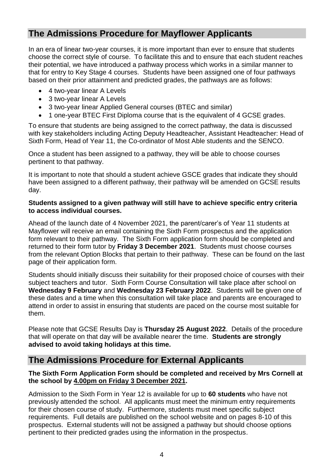#### <span id="page-4-0"></span>**The Admissions Procedure for Mayflower Applicants**

In an era of linear two-year courses, it is more important than ever to ensure that students choose the correct style of course. To facilitate this and to ensure that each student reaches their potential, we have introduced a pathway process which works in a similar manner to that for entry to Key Stage 4 courses. Students have been assigned one of four pathways based on their prior attainment and predicted grades, the pathways are as follows:

- 4 two-year linear A Levels
- 3 two-year linear A Levels
- 3 two-year linear Applied General courses (BTEC and similar)
- 1 one-year BTEC First Diploma course that is the equivalent of 4 GCSE grades.

To ensure that students are being assigned to the correct pathway, the data is discussed with key stakeholders including Acting Deputy Headteacher, Assistant Headteacher: Head of Sixth Form, Head of Year 11, the Co-ordinator of Most Able students and the SENCO.

Once a student has been assigned to a pathway, they will be able to choose courses pertinent to that pathway.

It is important to note that should a student achieve GSCE grades that indicate they should have been assigned to a different pathway, their pathway will be amended on GCSE results day.

#### **Students assigned to a given pathway will still have to achieve specific entry criteria to access individual courses.**

Ahead of the launch date of 4 November 2021, the parent/carer's of Year 11 students at Mayflower will receive an email containing the Sixth Form prospectus and the application form relevant to their pathway. The Sixth Form application form should be completed and returned to their form tutor by **Friday 3 December 2021**. Students must choose courses from the relevant Option Blocks that pertain to their pathway. These can be found on the last page of their application form.

Students should initially discuss their suitability for their proposed choice of courses with their subject teachers and tutor. Sixth Form Course Consultation will take place after school on **Wednesday 9 February** and **Wednesday 23 February 2022**. Students will be given one of these dates and a time when this consultation will take place and parents are encouraged to attend in order to assist in ensuring that students are paced on the course most suitable for them.

Please note that GCSE Results Day is **Thursday 25 August 2022**. Details of the procedure that will operate on that day will be available nearer the time. **Students are strongly advised to avoid taking holidays at this time.**

#### <span id="page-4-1"></span>**The Admissions Procedure for External Applicants**

#### **The Sixth Form Application Form should be completed and received by Mrs Cornell at the school by 4.00pm on Friday 3 December 2021.**

Admission to the Sixth Form in Year 12 is available for up to **60 students** who have not previously attended the school. All applicants must meet the minimum entry requirements for their chosen course of study. Furthermore, students must meet specific subject requirements. Full details are published on the school website and on pages 8-10 of this prospectus. External students will not be assigned a pathway but should choose options pertinent to their predicted grades using the information in the prospectus.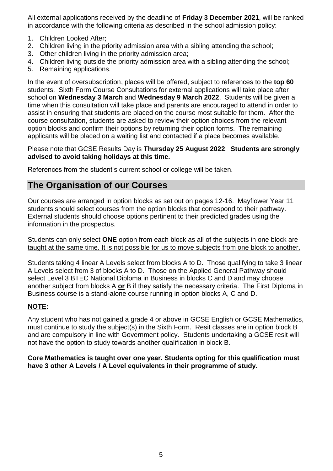All external applications received by the deadline of **Friday 3 December 2021**, will be ranked in accordance with the following criteria as described in the school admission policy:

- 1. Children Looked After;
- 2. Children living in the priority admission area with a sibling attending the school;
- 3. Other children living in the priority admission area;
- 4. Children living outside the priority admission area with a sibling attending the school;
- 5. Remaining applications.

In the event of oversubscription, places will be offered, subject to references to the **top 60** students. Sixth Form Course Consultations for external applications will take place after school on **Wednesday 3 March** and **Wednesday 9 March 2022**. Students will be given a time when this consultation will take place and parents are encouraged to attend in order to assist in ensuring that students are placed on the course most suitable for them. After the course consultation, students are asked to review their option choices from the relevant option blocks and confirm their options by returning their option forms. The remaining applicants will be placed on a waiting list and contacted if a place becomes available.

#### Please note that GCSE Results Day is **Thursday 25 August 2022**. **Students are strongly advised to avoid taking holidays at this time.**

References from the student's current school or college will be taken.

#### <span id="page-5-0"></span>**The Organisation of our Courses**

Our courses are arranged in option blocks as set out on pages 12-16. Mayflower Year 11 students should select courses from the option blocks that correspond to their pathway. External students should choose options pertinent to their predicted grades using the information in the prospectus.

Students can only select **ONE** option from each block as all of the subjects in one block are taught at the same time. It is not possible for us to move subjects from one block to another.

Students taking 4 linear A Levels select from blocks A to D. Those qualifying to take 3 linear A Levels select from 3 of blocks A to D. Those on the Applied General Pathway should select Level 3 BTEC National Diploma in Business in blocks C and D and may choose another subject from blocks A **or** B if they satisfy the necessary criteria. The First Diploma in Business course is a stand-alone course running in option blocks A, C and D.

#### **NOTE:**

Any student who has not gained a grade 4 or above in GCSE English or GCSE Mathematics, must continue to study the subject(s) in the Sixth Form. Resit classes are in option block B and are compulsory in line with Government policy. Students undertaking a GCSE resit will not have the option to study towards another qualification in block B.

#### **Core Mathematics is taught over one year. Students opting for this qualification must have 3 other A Levels / A Level equivalents in their programme of study.**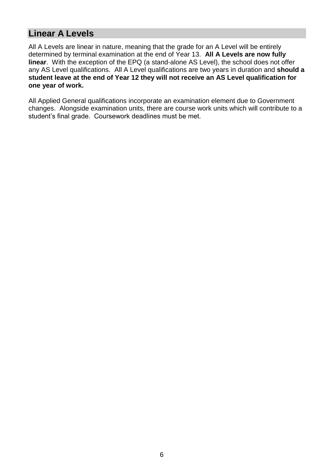#### **Linear A Levels**

All A Levels are linear in nature, meaning that the grade for an A Level will be entirely determined by terminal examination at the end of Year 13. **All A Levels are now fully linear**. With the exception of the EPQ (a stand-alone AS Level), the school does not offer any AS Level qualifications. All A Level qualifications are two years in duration and **should a student leave at the end of Year 12 they will not receive an AS Level qualification for one year of work.**

All Applied General qualifications incorporate an examination element due to Government changes. Alongside examination units, there are course work units which will contribute to a student's final grade. Coursework deadlines must be met.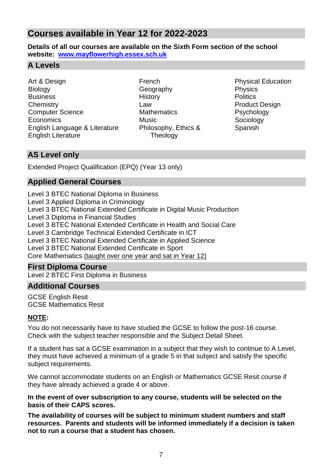#### <span id="page-7-0"></span>**Courses available in Year 12 for 2022-2023**

**Details of all our courses are available on the Sixth Form section of the school website: [www.mayflowerhigh.essex.sch.uk](http://www.mayflowerhigh.essex.sch.uk/)**

#### <span id="page-7-1"></span>**A Levels**

Art & Design **Biology Business Chemistry** Computer Science **Economics** English Language & Literature English Literature

French **Geography History** Law **Mathematics** Music Philosophy, Ethics & Theology

Physical Education Physics **Politics** Product Design Psychology Sociology Spanish

#### <span id="page-7-2"></span>**AS Level only**

Extended Project Qualification (EPQ) (Year 13 only)

#### <span id="page-7-3"></span>**Applied General Courses**

Level 3 BTEC National Diploma in Business

- Level 3 Applied Diploma in Criminology
- Level 3 BTEC National Extended Certificate in Digital Music Production

Level 3 Diploma in Financial Studies

Level 3 BTEC National Extended Certificate in Health and Social Care

Level 3 Cambridge Technical Extended Certificate in ICT

Level 3 BTEC National Extended Certificate in Applied Science

Level 3 BTEC National Extended Certificate in Sport

Core Mathematics (taught over one year and sat in Year 12)

#### <span id="page-7-4"></span>**First Diploma Course**

Level 2 BTEC First Diploma in Business

#### <span id="page-7-5"></span>**Additional Courses**

GCSE English Resit GCSE Mathematics Resit

#### **NOTE:**

You do not necessarily have to have studied the GCSE to follow the post-16 course. Check with the subject teacher responsible and the Subject Detail Sheet.

If a student has sat a GCSE examination in a subject that they wish to continue to A Level, they must have achieved a minimum of a grade 5 in that subject and satisfy the specific subject requirements.

We cannot accommodate students on an English or Mathematics GCSE Resit course if they have already achieved a grade 4 or above.

#### **In the event of over subscription to any course, students will be selected on the basis of their CAPS scores.**

**The availability of courses will be subject to minimum student numbers and staff resources. Parents and students will be informed immediately if a decision is taken not to run a course that a student has chosen.**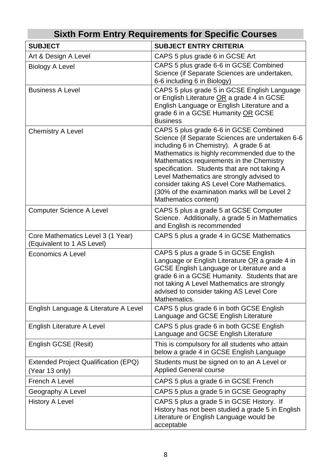<span id="page-8-0"></span>

| <b>Sixth Form Entry Requirements for Specific Courses</b>       |                                                                                                                                                                                                                                                                                                                                                                                                                                                         |  |  |
|-----------------------------------------------------------------|---------------------------------------------------------------------------------------------------------------------------------------------------------------------------------------------------------------------------------------------------------------------------------------------------------------------------------------------------------------------------------------------------------------------------------------------------------|--|--|
| <b>SUBJECT</b>                                                  | <b>SUBJECT ENTRY CRITERIA</b>                                                                                                                                                                                                                                                                                                                                                                                                                           |  |  |
| Art & Design A Level                                            | CAPS 5 plus grade 6 in GCSE Art                                                                                                                                                                                                                                                                                                                                                                                                                         |  |  |
| <b>Biology A Level</b>                                          | CAPS 5 plus grade 6-6 in GCSE Combined<br>Science (if Separate Sciences are undertaken,<br>6-6 including 6 in Biology)                                                                                                                                                                                                                                                                                                                                  |  |  |
| <b>Business A Level</b>                                         | CAPS 5 plus grade 5 in GCSE English Language<br>or English Literature OR a grade 4 in GCSE<br>English Language or English Literature and a<br>grade 6 in a GCSE Humanity OR GCSE<br><b>Business</b>                                                                                                                                                                                                                                                     |  |  |
| <b>Chemistry A Level</b>                                        | CAPS 5 plus grade 6-6 in GCSE Combined<br>Science (if Separate Sciences are undertaken 6-6<br>including 6 in Chemistry). A grade 6 at<br>Mathematics is highly recommended due to the<br>Mathematics requirements in the Chemistry<br>specification. Students that are not taking A<br>Level Mathematics are strongly advised to<br>consider taking AS Level Core Mathematics.<br>(30% of the examination marks will be Level 2<br>Mathematics content) |  |  |
| <b>Computer Science A Level</b>                                 | CAPS 5 plus a grade 5 at GCSE Computer<br>Science. Additionally, a grade 5 in Mathematics<br>and English is recommended                                                                                                                                                                                                                                                                                                                                 |  |  |
| Core Mathematics Level 3 (1 Year)<br>(Equivalent to 1 AS Level) | CAPS 5 plus a grade 4 in GCSE Mathematics                                                                                                                                                                                                                                                                                                                                                                                                               |  |  |
| <b>Economics A Level</b>                                        | CAPS 5 plus a grade 5 in GCSE English<br>Language or English Literature OR a grade 4 in<br>GCSE English Language or Literature and a<br>grade 6 in a GCSE Humanity. Students that are<br>not taking A Level Mathematics are strongly<br>advised to consider taking AS Level Core<br>Mathematics.                                                                                                                                                        |  |  |
| English Language & Literature A Level                           | CAPS 5 plus grade 6 in both GCSE English<br>Language and GCSE English Literature                                                                                                                                                                                                                                                                                                                                                                        |  |  |
| <b>English Literature A Level</b>                               | CAPS 5 plus grade 6 in both GCSE English<br>Language and GCSE English Literature                                                                                                                                                                                                                                                                                                                                                                        |  |  |
| English GCSE (Resit)                                            | This is compulsory for all students who attain<br>below a grade 4 in GCSE English Language                                                                                                                                                                                                                                                                                                                                                              |  |  |
| Extended Project Qualification (EPQ)<br>(Year 13 only)          | Students must be signed on to an A Level or<br><b>Applied General course</b>                                                                                                                                                                                                                                                                                                                                                                            |  |  |
| <b>French A Level</b>                                           | CAPS 5 plus a grade 6 in GCSE French                                                                                                                                                                                                                                                                                                                                                                                                                    |  |  |
| Geography A Level                                               | CAPS 5 plus a grade 5 in GCSE Geography                                                                                                                                                                                                                                                                                                                                                                                                                 |  |  |
| <b>History A Level</b>                                          | CAPS 5 plus a grade 5 in GCSE History. If<br>History has not been studied a grade 5 in English<br>Literature or English Language would be<br>acceptable                                                                                                                                                                                                                                                                                                 |  |  |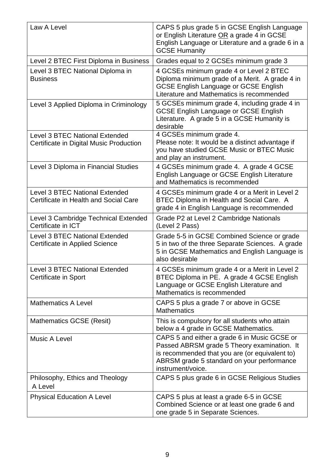| Law A Level                                                               | CAPS 5 plus grade 5 in GCSE English Language<br>or English Literature OR a grade 4 in GCSE<br>English Language or Literature and a grade 6 in a<br><b>GCSE Humanity</b>                                          |
|---------------------------------------------------------------------------|------------------------------------------------------------------------------------------------------------------------------------------------------------------------------------------------------------------|
| Level 2 BTEC First Diploma in Business                                    | Grades equal to 2 GCSEs minimum grade 3                                                                                                                                                                          |
| Level 3 BTEC National Diploma in<br><b>Business</b>                       | 4 GCSEs minimum grade 4 or Level 2 BTEC<br>Diploma minimum grade of a Merit. A grade 4 in<br><b>GCSE English Language or GCSE English</b><br>Literature and Mathematics is recommended                           |
| Level 3 Applied Diploma in Criminology                                    | 5 GCSEs minimum grade 4, including grade 4 in<br><b>GCSE English Language or GCSE English</b><br>Literature. A grade 5 in a GCSE Humanity is<br>desirable                                                        |
| Level 3 BTEC National Extended<br>Certificate in Digital Music Production | 4 GCSEs minimum grade 4.<br>Please note: It would be a distinct advantage if<br>you have studied GCSE Music or BTEC Music<br>and play an instrument.                                                             |
| Level 3 Diploma in Financial Studies                                      | 4 GCSEs minimum grade 4. A grade 4 GCSE<br>English Language or GCSE English Literature<br>and Mathematics is recommended                                                                                         |
| Level 3 BTEC National Extended<br>Certificate in Health and Social Care   | 4 GCSEs minimum grade 4 or a Merit in Level 2<br>BTEC Diploma in Health and Social Care. A<br>grade 4 in English Language is recommended                                                                         |
| Level 3 Cambridge Technical Extended<br>Certificate in ICT                | Grade P2 at Level 2 Cambridge Nationals<br>(Level 2 Pass)                                                                                                                                                        |
| Level 3 BTEC National Extended<br>Certificate in Applied Science          | Grade 5-5 in GCSE Combined Science or grade<br>5 in two of the three Separate Sciences. A grade<br>5 in GCSE Mathematics and English Language is<br>also desirable                                               |
| <b>Level 3 BTEC National Extended</b><br>Certificate in Sport             | 4 GCSEs minimum grade 4 or a Merit in Level 2<br>BTEC Diploma in PE. A grade 4 GCSE English<br>Language or GCSE English Literature and<br>Mathematics is recommended                                             |
| <b>Mathematics A Level</b>                                                | CAPS 5 plus a grade 7 or above in GCSE<br><b>Mathematics</b>                                                                                                                                                     |
| <b>Mathematics GCSE (Resit)</b>                                           | This is compulsory for all students who attain<br>below a 4 grade in GCSE Mathematics.                                                                                                                           |
| Music A Level                                                             | CAPS 5 and either a grade 6 in Music GCSE or<br>Passed ABRSM grade 5 Theory examination. It<br>is recommended that you are (or equivalent to)<br>ABRSM grade 5 standard on your performance<br>instrument/voice. |
| Philosophy, Ethics and Theology<br>A Level                                | CAPS 5 plus grade 6 in GCSE Religious Studies                                                                                                                                                                    |
| <b>Physical Education A Level</b>                                         | CAPS 5 plus at least a grade 6-5 in GCSE<br>Combined Science or at least one grade 6 and<br>one grade 5 in Separate Sciences.                                                                                    |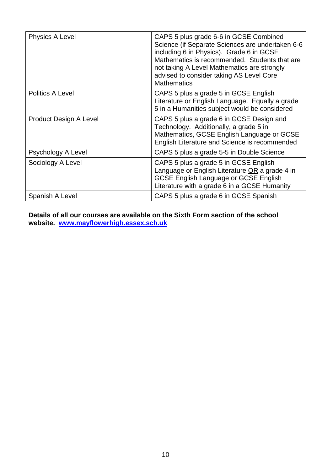| Physics A Level               | CAPS 5 plus grade 6-6 in GCSE Combined<br>Science (if Separate Sciences are undertaken 6-6<br>including 6 in Physics). Grade 6 in GCSE<br>Mathematics is recommended. Students that are<br>not taking A Level Mathematics are strongly<br>advised to consider taking AS Level Core<br><b>Mathematics</b> |
|-------------------------------|----------------------------------------------------------------------------------------------------------------------------------------------------------------------------------------------------------------------------------------------------------------------------------------------------------|
| <b>Politics A Level</b>       | CAPS 5 plus a grade 5 in GCSE English<br>Literature or English Language. Equally a grade<br>5 in a Humanities subject would be considered                                                                                                                                                                |
| <b>Product Design A Level</b> | CAPS 5 plus a grade 6 in GCSE Design and<br>Technology. Additionally, a grade 5 in<br>Mathematics, GCSE English Language or GCSE<br>English Literature and Science is recommended                                                                                                                        |
| Psychology A Level            | CAPS 5 plus a grade 5-5 in Double Science                                                                                                                                                                                                                                                                |
| Sociology A Level             | CAPS 5 plus a grade 5 in GCSE English<br>Language or English Literature OR a grade 4 in<br><b>GCSE English Language or GCSE English</b><br>Literature with a grade 6 in a GCSE Humanity                                                                                                                  |
| Spanish A Level               | CAPS 5 plus a grade 6 in GCSE Spanish                                                                                                                                                                                                                                                                    |

**Details of all our courses are available on the Sixth Form section of the school website. [www.mayflowerhigh.essex.sch.uk](http://www.mayflowerhigh.essex.sch.uk/)**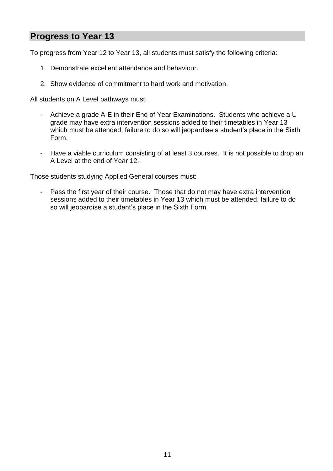#### <span id="page-11-0"></span>**Progress to Year 13**

To progress from Year 12 to Year 13, all students must satisfy the following criteria:

- 1. Demonstrate excellent attendance and behaviour.
- 2. Show evidence of commitment to hard work and motivation.

All students on A Level pathways must:

- Achieve a grade A-E in their End of Year Examinations. Students who achieve a U grade may have extra intervention sessions added to their timetables in Year 13 which must be attended, failure to do so will jeopardise a student's place in the Sixth Form.
- Have a viable curriculum consisting of at least 3 courses. It is not possible to drop an A Level at the end of Year 12.

Those students studying Applied General courses must:

- Pass the first year of their course. Those that do not may have extra intervention sessions added to their timetables in Year 13 which must be attended, failure to do so will jeopardise a student's place in the Sixth Form.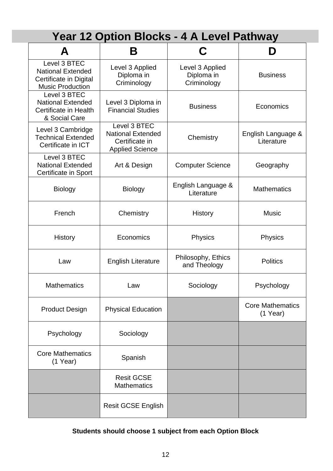## **Year 12 Option Blocks - 4 A Level Pathway**

<span id="page-12-0"></span>

| А                                                                                             | Β                                                                                    | C                                            | D                                     |
|-----------------------------------------------------------------------------------------------|--------------------------------------------------------------------------------------|----------------------------------------------|---------------------------------------|
| Level 3 BTEC<br><b>National Extended</b><br>Certificate in Digital<br><b>Music Production</b> | Level 3 Applied<br>Diploma in<br>Criminology                                         | Level 3 Applied<br>Diploma in<br>Criminology | <b>Business</b>                       |
| Level 3 BTEC<br><b>National Extended</b><br><b>Certificate in Health</b><br>& Social Care     | Level 3 Diploma in<br><b>Financial Studies</b>                                       | <b>Business</b>                              | Economics                             |
| Level 3 Cambridge<br><b>Technical Extended</b><br>Certificate in ICT                          | Level 3 BTEC<br><b>National Extended</b><br>Certificate in<br><b>Applied Science</b> | Chemistry                                    | English Language &<br>Literature      |
| Level 3 BTEC<br><b>National Extended</b><br>Certificate in Sport                              | Art & Design                                                                         | <b>Computer Science</b>                      | Geography                             |
| <b>Biology</b>                                                                                | <b>Biology</b>                                                                       | English Language &<br>Literature             | <b>Mathematics</b>                    |
| French                                                                                        | Chemistry                                                                            | <b>History</b>                               | <b>Music</b>                          |
| <b>History</b>                                                                                | Economics                                                                            | Physics                                      | <b>Physics</b>                        |
| Law                                                                                           | <b>English Literature</b>                                                            | Philosophy, Ethics<br>and Theology           | <b>Politics</b>                       |
| <b>Mathematics</b>                                                                            | Law                                                                                  | Sociology                                    | Psychology                            |
| <b>Product Design</b>                                                                         | <b>Physical Education</b>                                                            |                                              | <b>Core Mathematics</b><br>$(1$ Year) |
| Psychology                                                                                    | Sociology                                                                            |                                              |                                       |
| <b>Core Mathematics</b><br>$(1$ Year)                                                         | Spanish                                                                              |                                              |                                       |
|                                                                                               | <b>Resit GCSE</b><br><b>Mathematics</b>                                              |                                              |                                       |
|                                                                                               | <b>Resit GCSE English</b>                                                            |                                              |                                       |

#### **Students should choose 1 subject from each Option Block**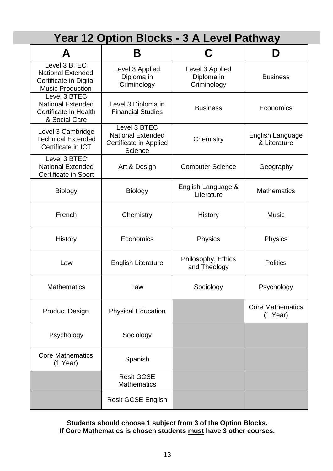## **Year 12 Option Blocks - 3 A Level Pathway**

<span id="page-13-0"></span>

|                                                                                               | B                                                                             |                                              |                                       |
|-----------------------------------------------------------------------------------------------|-------------------------------------------------------------------------------|----------------------------------------------|---------------------------------------|
| Level 3 BTEC<br><b>National Extended</b><br>Certificate in Digital<br><b>Music Production</b> | Level 3 Applied<br>Diploma in<br>Criminology                                  | Level 3 Applied<br>Diploma in<br>Criminology | <b>Business</b>                       |
| Level 3 BTEC<br><b>National Extended</b><br>Certificate in Health<br>& Social Care            | Level 3 Diploma in<br><b>Financial Studies</b>                                | <b>Business</b>                              | Economics                             |
| Level 3 Cambridge<br><b>Technical Extended</b><br>Certificate in ICT                          | Level 3 BTEC<br><b>National Extended</b><br>Certificate in Applied<br>Science | Chemistry                                    | English Language<br>& Literature      |
| Level 3 BTEC<br><b>National Extended</b><br>Certificate in Sport                              | Art & Design                                                                  | <b>Computer Science</b>                      | Geography                             |
| <b>Biology</b>                                                                                | <b>Biology</b>                                                                | English Language &<br>Literature             | <b>Mathematics</b>                    |
| French                                                                                        | Chemistry                                                                     | History                                      | <b>Music</b>                          |
| <b>History</b>                                                                                | Economics                                                                     | <b>Physics</b>                               | Physics                               |
| Law                                                                                           | <b>English Literature</b>                                                     | Philosophy, Ethics<br>and Theology           | <b>Politics</b>                       |
| <b>Mathematics</b>                                                                            | Law                                                                           | Sociology                                    | Psychology                            |
| <b>Product Design</b>                                                                         | <b>Physical Education</b>                                                     |                                              | <b>Core Mathematics</b><br>$(1$ Year) |
| Psychology                                                                                    | Sociology                                                                     |                                              |                                       |
| <b>Core Mathematics</b><br>$(1$ Year)                                                         | Spanish                                                                       |                                              |                                       |
|                                                                                               | <b>Resit GCSE</b><br><b>Mathematics</b>                                       |                                              |                                       |
|                                                                                               | <b>Resit GCSE English</b>                                                     |                                              |                                       |

**Students should choose 1 subject from 3 of the Option Blocks. If Core Mathematics is chosen students must have 3 other courses.**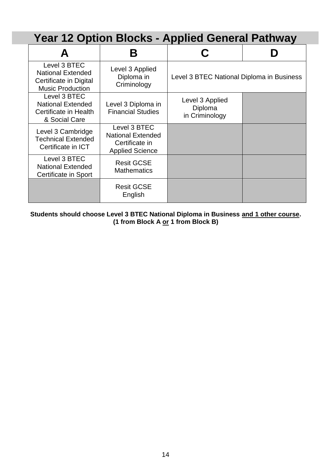## <span id="page-14-0"></span>**Year 12 Option Blocks - Applied General Pathway**

| Level 3 BTEC<br><b>National Extended</b><br>Certificate in Digital<br><b>Music Production</b> | Level 3 Applied<br>Diploma in<br>Criminology                                         | Level 3 BTEC National Diploma in Business    |  |
|-----------------------------------------------------------------------------------------------|--------------------------------------------------------------------------------------|----------------------------------------------|--|
| Level 3 BTEC<br><b>National Extended</b><br>Certificate in Health<br>& Social Care            | Level 3 Diploma in<br><b>Financial Studies</b>                                       | Level 3 Applied<br>Diploma<br>in Criminology |  |
| Level 3 Cambridge<br><b>Technical Extended</b><br>Certificate in ICT                          | Level 3 BTEC<br><b>National Extended</b><br>Certificate in<br><b>Applied Science</b> |                                              |  |
| Level 3 BTEC<br><b>National Extended</b><br>Certificate in Sport                              | <b>Resit GCSE</b><br><b>Mathematics</b>                                              |                                              |  |
|                                                                                               | <b>Resit GCSE</b><br>English                                                         |                                              |  |

**Students should choose Level 3 BTEC National Diploma in Business and 1 other course. (1 from Block A or 1 from Block B)**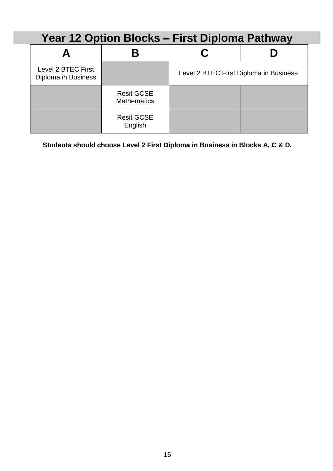## <span id="page-15-0"></span>**Year 12 Option Blocks – First Diploma Pathway A B C D** Level 2 BTEC First<br>Diploma in Business Level 2 BTEC First Diploma in Business Resit GCSE **Mathematics** Resit GCSE English

**Students should choose Level 2 First Diploma in Business in Blocks A, C & D.**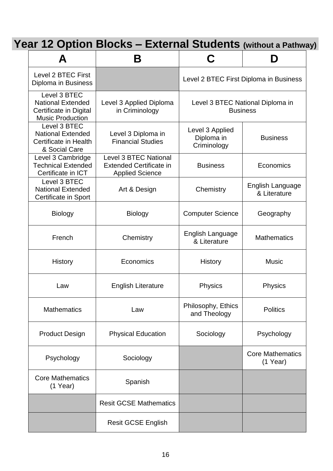<span id="page-16-0"></span>

| Year 12 Option Blocks - External Students (without a Pathway) |  |
|---------------------------------------------------------------|--|
|---------------------------------------------------------------|--|

| А                                                                                             | Β                                                                                 | C                                            | Ŋ                                                   |
|-----------------------------------------------------------------------------------------------|-----------------------------------------------------------------------------------|----------------------------------------------|-----------------------------------------------------|
| Level 2 BTEC First<br>Diploma in Business                                                     |                                                                                   | Level 2 BTEC First Diploma in Business       |                                                     |
| Level 3 BTEC<br><b>National Extended</b><br>Certificate in Digital<br><b>Music Production</b> | Level 3 Applied Diploma<br>in Criminology                                         |                                              | Level 3 BTEC National Diploma in<br><b>Business</b> |
| Level 3 BTEC<br><b>National Extended</b><br>Certificate in Health<br>& Social Care            | Level 3 Diploma in<br><b>Financial Studies</b>                                    | Level 3 Applied<br>Diploma in<br>Criminology | <b>Business</b>                                     |
| Level 3 Cambridge<br><b>Technical Extended</b><br>Certificate in ICT                          | Level 3 BTEC National<br><b>Extended Certificate in</b><br><b>Applied Science</b> | <b>Business</b>                              | Economics                                           |
| Level 3 BTEC<br><b>National Extended</b><br><b>Certificate in Sport</b>                       | Art & Design                                                                      | Chemistry                                    | English Language<br>& Literature                    |
| <b>Biology</b>                                                                                | <b>Biology</b>                                                                    | <b>Computer Science</b>                      | Geography                                           |
| French                                                                                        | Chemistry                                                                         | English Language<br>& Literature             | <b>Mathematics</b>                                  |
| History                                                                                       | Economics                                                                         | History                                      | <b>Music</b>                                        |
| Law                                                                                           | <b>English Literature</b>                                                         | Physics                                      | Physics                                             |
| <b>Mathematics</b>                                                                            | Law                                                                               | Philosophy, Ethics<br>and Theology           | <b>Politics</b>                                     |
| <b>Product Design</b>                                                                         | <b>Physical Education</b>                                                         | Sociology                                    | Psychology                                          |
| Psychology                                                                                    | Sociology                                                                         |                                              | <b>Core Mathematics</b><br>$(1$ Year)               |
| <b>Core Mathematics</b><br>$(1$ Year)                                                         | Spanish                                                                           |                                              |                                                     |
|                                                                                               | <b>Resit GCSE Mathematics</b>                                                     |                                              |                                                     |
|                                                                                               | <b>Resit GCSE English</b>                                                         |                                              |                                                     |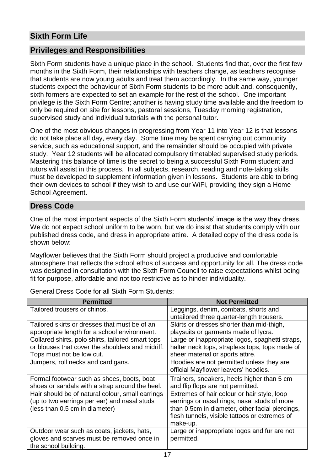#### <span id="page-17-0"></span>**Sixth Form Life**

#### <span id="page-17-1"></span>**Privileges and Responsibilities**

Sixth Form students have a unique place in the school. Students find that, over the first few months in the Sixth Form, their relationships with teachers change, as teachers recognise that students are now young adults and treat them accordingly. In the same way, younger students expect the behaviour of Sixth Form students to be more adult and, consequently, sixth formers are expected to set an example for the rest of the school. One important privilege is the Sixth Form Centre; another is having study time available and the freedom to only be required on site for lessons, pastoral sessions, Tuesday morning registration, supervised study and individual tutorials with the personal tutor.

One of the most obvious changes in progressing from Year 11 into Year 12 is that lessons do not take place all day, every day. Some time may be spent carrying out community service, such as educational support, and the remainder should be occupied with private study. Year 12 students will be allocated compulsory timetabled supervised study periods. Mastering this balance of time is the secret to being a successful Sixth Form student and tutors will assist in this process. In all subjects, research, reading and note-taking skills must be developed to supplement information given in lessons. Students are able to bring their own devices to school if they wish to and use our WiFi, providing they sign a Home School Agreement.

#### <span id="page-17-2"></span>**Dress Code**

One of the most important aspects of the Sixth Form students' image is the way they dress. We do not expect school uniform to be worn, but we do insist that students comply with our published dress code, and dress in appropriate attire. A detailed copy of the dress code is shown below:

Mayflower believes that the Sixth Form should project a productive and comfortable atmosphere that reflects the school ethos of success and opportunity for all. The dress code was designed in consultation with the Sixth Form Council to raise expectations whilst being fit for purpose, affordable and not too restrictive as to hinder individuality.

**Permitted Not Permitted** Tailored trousers or chinos. Leggings, denim, combats, shorts and untailored three quarter-length trousers. Tailored skirts or dresses that must be of an appropriate length for a school environment. Skirts or dresses shorter than mid-thigh, playsuits or garments made of lycra. Collared shirts, polo shirts, tailored smart tops or blouses that cover the shoulders and midriff. Tops must not be low cut. Large or inappropriate logos, spaghetti straps, halter neck tops, strapless tops, tops made of sheer material or sports attire. Jumpers, roll necks and cardigans. | Hoodies are not permitted unless they are official Mayflower leavers' hoodies. Formal footwear such as shoes, boots, boat shoes or sandals with a strap around the heel. Trainers, sneakers, heels higher than 5 cm and flip flops are not permitted. Hair should be of natural colour, small earrings (up to two earrings per ear) and nasal studs (less than 0.5 cm in diameter) Extremes of hair colour or hair style, loop earrings or nasal rings, nasal studs of more than 0.5cm in diameter, other facial piercings, flesh tunnels, visible tattoos or extremes of make-up. Outdoor wear such as coats, jackets, hats, gloves and scarves must be removed once in the school building. Large or inappropriate logos and fur are not permitted.

General Dress Code for all Sixth Form Students: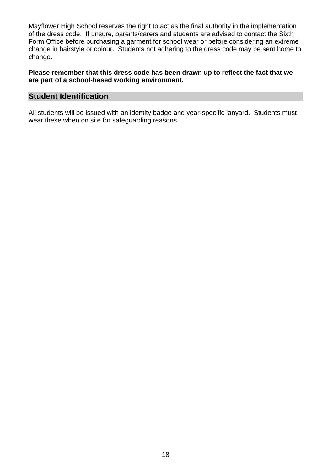Mayflower High School reserves the right to act as the final authority in the implementation of the dress code. If unsure, parents/carers and students are advised to contact the Sixth Form Office before purchasing a garment for school wear or before considering an extreme change in hairstyle or colour. Students not adhering to the dress code may be sent home to change.

#### **Please remember that this dress code has been drawn up to reflect the fact that we are part of a school-based working environment.**

#### **Student Identification**

All students will be issued with an identity badge and year-specific lanyard. Students must wear these when on site for safeguarding reasons.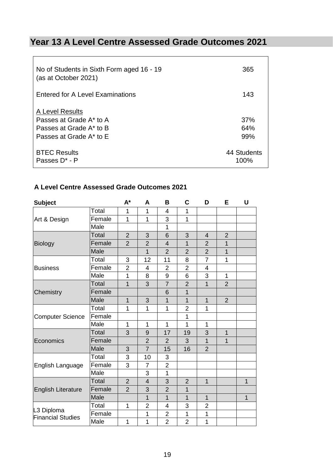### <span id="page-19-0"></span>**Year 13 A Level Centre Assessed Grade Outcomes 2021**

| No of Students in Sixth Form aged 16 - 19<br>(as at October 2021)                                | 365                 |
|--------------------------------------------------------------------------------------------------|---------------------|
| <b>Entered for A Level Examinations</b>                                                          | 143                 |
| A Level Results<br>Passes at Grade A* to A<br>Passes at Grade A* to B<br>Passes at Grade A* to E | 37%<br>64%<br>99%   |
| <b>BTEC Results</b><br>Passes D <sup>*</sup> - P                                                 | 44 Students<br>100% |

#### **A Level Centre Assessed Grade Outcomes 2021**

| <b>Subject</b>                         |              | $A^*$          | A              | B              | C              | D              | E              | U              |
|----------------------------------------|--------------|----------------|----------------|----------------|----------------|----------------|----------------|----------------|
|                                        | Total        | 1              | 1              | 4              | 1              |                |                |                |
| Art & Design                           | Female       | 1              | 1              | 3              | $\mathbf 1$    |                |                |                |
|                                        | Male         |                |                | 1              |                |                |                |                |
|                                        | Total        | $\overline{2}$ | 3              | 6              | 3              | 4              | $\overline{2}$ |                |
| <b>Biology</b>                         | Female       | $\overline{2}$ | $\overline{2}$ | $\overline{4}$ | $\overline{1}$ | $\overline{2}$ | $\overline{1}$ |                |
|                                        | Male         |                | $\overline{1}$ | $\overline{2}$ | $\overline{2}$ | $\overline{2}$ | 1              |                |
|                                        | Total        | 3              | 12             | 11             | 8              | $\overline{7}$ | 1              |                |
| <b>Business</b>                        | Female       | $\overline{2}$ | 4              | $\overline{2}$ | $\overline{2}$ | 4              |                |                |
|                                        | Male         | 1              | 8              | 9              | 6              | 3              | 1              |                |
|                                        | Total        | $\mathbf{1}$   | 3              | $\overline{7}$ | $\overline{2}$ | $\overline{1}$ | $\overline{2}$ |                |
| Chemistry                              | Female       |                |                | 6              | 1              |                |                |                |
|                                        | Male         | $\overline{1}$ | 3              | $\overline{1}$ | $\overline{1}$ | $\overline{1}$ | $\overline{2}$ |                |
|                                        | Total        | 1              | 1              | 1              | $\overline{2}$ | 1              |                |                |
| <b>Computer Science</b>                | Female       |                |                |                | 1              |                |                |                |
|                                        | Male         | 1              | $\mathbf 1$    | $\overline{1}$ | 1              | 1              |                |                |
|                                        | Total        | 3              | 9              | 17             | 19             | 3              | $\overline{1}$ |                |
| Economics                              | Female       |                | $\overline{2}$ | $\overline{2}$ | 3              | 1              | 1              |                |
|                                        | Male         | 3              | $\overline{7}$ | 15             | 16             | $\overline{2}$ |                |                |
|                                        | Total        | 3              | 10             | 3              |                |                |                |                |
| English Language                       | Female       | 3              | $\overline{7}$ | $\overline{2}$ |                |                |                |                |
|                                        | Male         |                | 3              | $\mathbf{1}$   |                |                |                |                |
| <b>English Literature</b>              | <b>Total</b> | $\overline{2}$ | $\overline{4}$ | 3              | $\overline{2}$ | $\mathbf{1}$   |                | $\mathbf{1}$   |
|                                        | Female       | $\overline{2}$ | 3              | $\overline{2}$ | 1              |                |                |                |
|                                        | Male         |                | $\overline{1}$ | $\overline{1}$ | $\overline{1}$ | 1              |                | $\overline{1}$ |
|                                        | Total        | $\mathbf 1$    | $\overline{2}$ | 4              | 3              | $\overline{2}$ |                |                |
| L3 Diploma<br><b>Financial Studies</b> | Female       |                | 1              | $\overline{2}$ | 1              | 1              |                |                |
|                                        | Male         | 1              | 1              | $\overline{2}$ | $\overline{2}$ | 1              |                |                |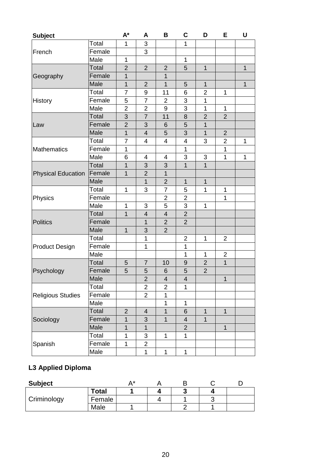| <b>Subject</b>            |              | $A^*$          | A                       | B              | C                       | D              | Е              | U            |
|---------------------------|--------------|----------------|-------------------------|----------------|-------------------------|----------------|----------------|--------------|
|                           | Total        | 1              | 3                       |                | 1                       |                |                |              |
| French                    | Female       |                | 3                       |                |                         |                |                |              |
|                           | Male         | 1              |                         |                | 1                       |                |                |              |
|                           | Total        | $\overline{2}$ | $\overline{2}$          | $\overline{2}$ | 5                       | $\mathbf 1$    |                | $\mathbf{1}$ |
| Geography                 | Female       | $\mathbf 1$    |                         | 1              |                         |                |                |              |
|                           | Male         | $\mathbf 1$    | $\overline{2}$          | $\overline{1}$ | 5                       | $\mathbf{1}$   |                | $\mathbf 1$  |
|                           | Total        | 7              | 9                       | 11             | 6                       | 2              | 1              |              |
| History                   | Female       | 5              | $\overline{7}$          | $\overline{2}$ | 3                       | 1              |                |              |
|                           | Male         | $\overline{2}$ | $\overline{2}$          | 9              | 3                       | 1              | 1              |              |
|                           | Total        | 3              | $\overline{7}$          | 11             | 8                       | $\overline{2}$ | $\overline{2}$ |              |
| Law                       | Female       | $\overline{2}$ | 3                       | 6              | 5                       | $\mathbf 1$    |                |              |
|                           | Male         | $\mathbf{1}$   | $\overline{\mathbf{4}}$ | 5              | 3                       | $\mathbf 1$    | $\overline{2}$ |              |
|                           | Total        | 7              | 4                       | 4              | 4                       | 3              | $\overline{2}$ | 1            |
| <b>Mathematics</b>        | Female       | 1              |                         |                | 1                       |                | 1              |              |
|                           | Male         | 6              | 4                       | 4              | 3                       | 3              | 1              | $\mathbf 1$  |
|                           | Total        | 1              | 3                       | $\mathfrak{B}$ | $\mathbf 1$             | $\mathbf 1$    |                |              |
| <b>Physical Education</b> | Female       | $\mathbf{1}$   | $\overline{2}$          | $\mathbf{1}$   |                         |                |                |              |
|                           | Male         |                | $\overline{1}$          | $\overline{2}$ | $\overline{1}$          | $\mathbf{1}$   |                |              |
|                           | Total        | 1              | 3                       | 7              | 5                       | 1              | 1              |              |
| Physics                   | Female       |                |                         | $\overline{2}$ | $\overline{2}$          |                | 1              |              |
|                           | Male         | 1              | 3                       | 5              | $\mathsf 3$             | 1              |                |              |
|                           | Total        | $\mathbf{1}$   | 4                       | $\overline{4}$ | $\overline{2}$          |                |                |              |
| <b>Politics</b>           | Female       |                | $\mathbf{1}$            | $\overline{2}$ | $\overline{2}$          |                |                |              |
|                           | Male         | $\mathbf{1}$   | 3                       | $\overline{2}$ |                         |                |                |              |
|                           | Total        |                | 1                       |                | 2                       | 1              | $\overline{2}$ |              |
| <b>Product Design</b>     | Female       |                | $\mathbf 1$             |                | 1                       |                |                |              |
|                           | Male         |                |                         |                | 1                       | 1              | $\overline{2}$ |              |
|                           | <b>Total</b> | 5              | $\overline{7}$          | 10             | 9                       | 2              | $\mathbf{1}$   |              |
| Psychology                | Female       | 5              | 5                       | 6              | 5                       | $\overline{2}$ |                |              |
|                           | Male         |                | $\overline{2}$          | $\overline{4}$ | $\overline{\mathbf{4}}$ |                | $\mathbf{1}$   |              |
|                           | Total        |                | $\overline{2}$          | $\overline{2}$ | 1                       |                |                |              |
| <b>Religious Studies</b>  | Female       |                | $\overline{2}$          | 1              |                         |                |                |              |
|                           | Male         |                |                         | 1              | 1                       |                |                |              |
|                           | Total        | $\overline{2}$ | 4                       | $\overline{1}$ | 6                       | 1              | $\mathbf{1}$   |              |
| Sociology                 | Female       | $\mathbf 1$    | 3                       | $\overline{1}$ | $\overline{\mathbf{4}}$ | $\overline{1}$ |                |              |
|                           | Male         | $\overline{1}$ | $\mathbf{1}$            |                | $\overline{2}$          |                | $\mathbf{1}$   |              |
|                           | Total        | 1              | 3                       | 1              | 1                       |                |                |              |
| Spanish                   | Female       | 1              | $\overline{2}$          |                |                         |                |                |              |
|                           | Male         |                | 1                       | 1              | $\mathbf{1}$            |                |                |              |

### **L3 Applied Diploma**

| <b>Subject</b> |              | A* |        |  |
|----------------|--------------|----|--------|--|
| Criminology    | <b>Total</b> |    | ◠<br>ν |  |
|                | Female       |    |        |  |
|                | Male         |    |        |  |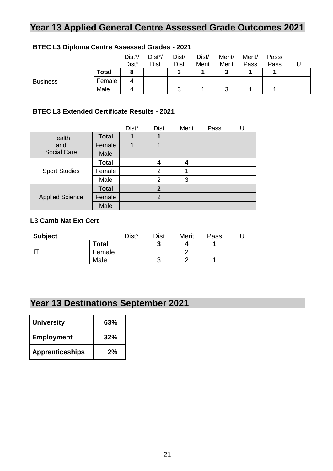## <span id="page-21-0"></span>**Year 13 Applied General Centre Assessed Grade Outcomes 2021**

|                 |              | Dist*/<br>Dist* | Dist*/<br><b>Dist</b> | Dist/<br><b>Dist</b> | Dist/<br>Merit | Merit/<br>Merit | Merit/<br>Pass | Pass/<br>Pass |  |
|-----------------|--------------|-----------------|-----------------------|----------------------|----------------|-----------------|----------------|---------------|--|
|                 | <b>Total</b> | о               |                       | າ<br>v.              |                | 2               |                |               |  |
| <b>Business</b> | Female       |                 |                       |                      |                |                 |                |               |  |
|                 | Male         |                 |                       | ◠<br>w               |                | ⌒<br>u          |                |               |  |

#### **BTEC L3 Diploma Centre Assessed Grades - 2021**

#### **BTEC L3 Extended Certificate Results - 2021**

|                        |              | Dist* | <b>Dist</b>    | Merit | Pass |  |
|------------------------|--------------|-------|----------------|-------|------|--|
| Health                 | <b>Total</b> |       |                |       |      |  |
| and                    | Female       |       |                |       |      |  |
| <b>Social Care</b>     | Male         |       |                |       |      |  |
| <b>Sport Studies</b>   | <b>Total</b> |       | 4              | 4     |      |  |
|                        | Female       |       | $\overline{2}$ |       |      |  |
|                        | Male         |       | $\overline{2}$ | 3     |      |  |
|                        | <b>Total</b> |       | $\mathbf 2$    |       |      |  |
| <b>Applied Science</b> | Female       |       | $\overline{2}$ |       |      |  |
|                        | Male         |       |                |       |      |  |

#### **L3 Camb Nat Ext Cert**

| <b>Subject</b> |              | Dist* | Dist | Merit | Pass |  |
|----------------|--------------|-------|------|-------|------|--|
|                | <b>Total</b> |       | نمه  |       |      |  |
|                | Female       |       |      | ┍     |      |  |
|                | Male         |       |      |       |      |  |

## <span id="page-21-1"></span>**Year 13 Destinations September 2021**

| <b>University</b>      | 63% |
|------------------------|-----|
| <b>Employment</b>      | 32% |
| <b>Apprenticeships</b> | 2%  |